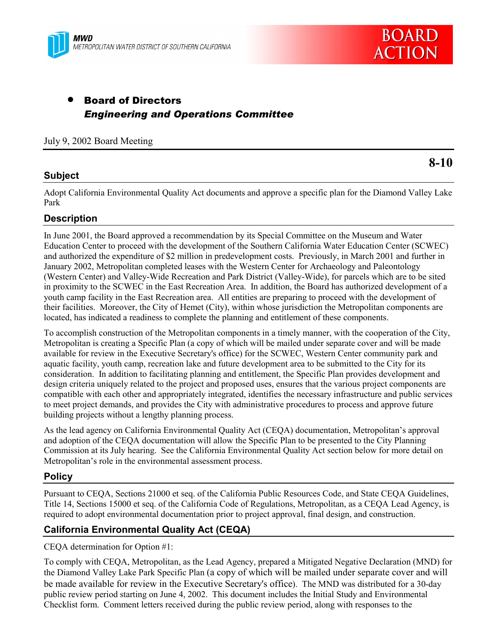



**8-10**

# • Board of Directors *Engineering and Operations Committee*

#### July 9, 2002 Board Meeting

### **Subject**

Adopt California Environmental Quality Act documents and approve a specific plan for the Diamond Valley Lake Park

### **Description**

In June 2001, the Board approved a recommendation by its Special Committee on the Museum and Water Education Center to proceed with the development of the Southern California Water Education Center (SCWEC) and authorized the expenditure of \$2 million in predevelopment costs. Previously, in March 2001 and further in January 2002, Metropolitan completed leases with the Western Center for Archaeology and Paleontology (Western Center) and Valley-Wide Recreation and Park District (Valley-Wide), for parcels which are to be sited in proximity to the SCWEC in the East Recreation Area. In addition, the Board has authorized development of a youth camp facility in the East Recreation area. All entities are preparing to proceed with the development of their facilities. Moreover, the City of Hemet (City), within whose jurisdiction the Metropolitan components are located, has indicated a readiness to complete the planning and entitlement of these components.

To accomplish construction of the Metropolitan components in a timely manner, with the cooperation of the City, Metropolitan is creating a Specific Plan (a copy of which will be mailed under separate cover and will be made available for review in the Executive Secretary's office) for the SCWEC, Western Center community park and aquatic facility, youth camp, recreation lake and future development area to be submitted to the City for its consideration. In addition to facilitating planning and entitlement, the Specific Plan provides development and design criteria uniquely related to the project and proposed uses, ensures that the various project components are compatible with each other and appropriately integrated, identifies the necessary infrastructure and public services to meet project demands, and provides the City with administrative procedures to process and approve future building projects without a lengthy planning process.

As the lead agency on California Environmental Quality Act (CEQA) documentation, Metropolitanís approval and adoption of the CEQA documentation will allow the Specific Plan to be presented to the City Planning Commission at its July hearing. See the California Environmental Quality Act section below for more detail on Metropolitan's role in the environmental assessment process.

### **Policy**

Pursuant to CEQA, Sections 21000 et seq. of the California Public Resources Code, and State CEQA Guidelines, Title 14, Sections 15000 et seq. of the California Code of Regulations, Metropolitan, as a CEQA Lead Agency, is required to adopt environmental documentation prior to project approval, final design, and construction.

## **California Environmental Quality Act (CEQA)**

CEQA determination for Option #1:

To comply with CEQA, Metropolitan, as the Lead Agency, prepared a Mitigated Negative Declaration (MND) for the Diamond Valley Lake Park Specific Plan (a copy of which will be mailed under separate cover and will be made available for review in the Executive Secretary's office). The MND was distributed for a 30-day public review period starting on June 4, 2002. This document includes the Initial Study and Environmental Checklist form. Comment letters received during the public review period, along with responses to the